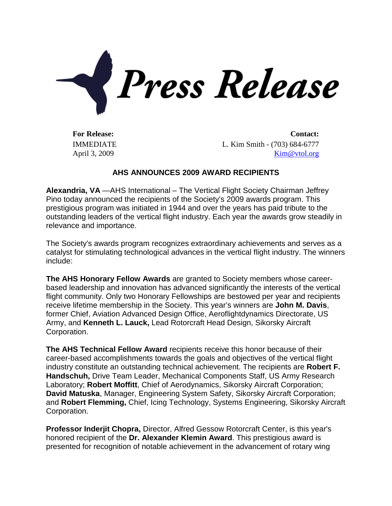

IMMEDIATE April 3, 2009

**For Release: Contact:** L. Kim Smith - (703) 684-6777 [Kim@vtol.org](mailto:Kim@vtol.org)

## **AHS ANNOUNCES 2009 AWARD RECIPIENTS**

**Alexandria, VA** —AHS International – The Vertical Flight Society Chairman Jeffrey Pino today announced the recipients of the Society's 2009 awards program. This prestigious program was initiated in 1944 and over the years has paid tribute to the outstanding leaders of the vertical flight industry. Each year the awards grow steadily in relevance and importance.

The Society's awards program recognizes extraordinary achievements and serves as a catalyst for stimulating technological advances in the vertical flight industry. The winners include:

**The AHS Honorary Fellow Awards** are granted to Society members whose careerbased leadership and innovation has advanced significantly the interests of the vertical flight community. Only two Honorary Fellowships are bestowed per year and recipients receive lifetime membership in the Society. This year's winners are **John M. Davis**, former Chief, Aviation Advanced Design Office, Aeroflightdynamics Directorate, US Army, and **Kenneth L. Lauck,** Lead Rotorcraft Head Design, Sikorsky Aircraft Corporation.

**The AHS Technical Fellow Award** recipients receive this honor because of their career-based accomplishments towards the goals and objectives of the vertical flight industry constitute an outstanding technical achievement. The recipients are **Robert F. Handschuh,** Drive Team Leader, Mechanical Components Staff, US Army Research Laboratory; **Robert Moffitt**, Chief of Aerodynamics, Sikorsky Aircraft Corporation; **David Matuska**, Manager, Engineering System Safety, Sikorsky Aircraft Corporation; and **Robert Flemming,** Chief, Icing Technology, Systems Engineering, Sikorsky Aircraft Corporation.

**Professor Inderjit Chopra,** Director, Alfred Gessow Rotorcraft Center, is this year's honored recipient of the **Dr. Alexander Klemin Award**. This prestigious award is presented for recognition of notable achievement in the advancement of rotary wing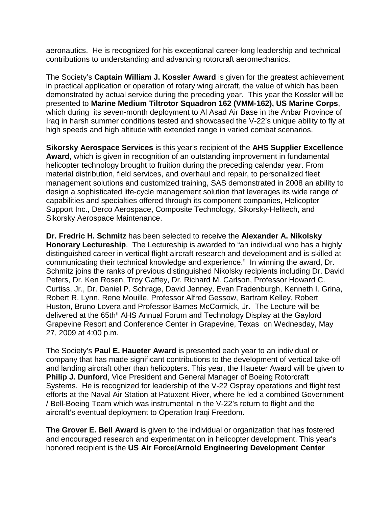aeronautics. He is recognized for his exceptional career-long leadership and technical contributions to understanding and advancing rotorcraft aeromechanics.

The Society's **Captain William J. Kossler Award** is given for the greatest achievement in practical application or operation of rotary wing aircraft, the value of which has been demonstrated by actual service during the preceding year. This year the Kossler will be presented to **Marine Medium Tiltrotor Squadron 162 (VMM-162), US Marine Corps**, which during its seven-month deployment to Al Asad Air Base in the Anbar Province of Iraq in harsh summer conditions tested and showcased the V-22's unique ability to fly at high speeds and high altitude with extended range in varied combat scenarios.

**Sikorsky Aerospace Services** is this year's recipient of the **AHS Supplier Excellence Award**, which is given in recognition of an outstanding improvement in fundamental helicopter technology brought to fruition during the preceding calendar year. From material distribution, field services, and overhaul and repair, to personalized fleet management solutions and customized training, SAS demonstrated in 2008 an ability to design a sophisticated life-cycle management solution that leverages its wide range of capabilities and specialties offered through its component companies, Helicopter Support Inc., Derco Aerospace, Composite Technology, Sikorsky-Helitech, and Sikorsky Aerospace Maintenance.

**Dr. Fredric H. Schmitz** has been selected to receive the **Alexander A. Nikolsky Honorary Lectureship**. The Lectureship is awarded to "an individual who has a highly distinguished career in vertical flight aircraft research and development and is skilled at communicating their technical knowledge and experience." In winning the award, Dr. Schmitz joins the ranks of previous distinguished Nikolsky recipients including Dr. David Peters, Dr. Ken Rosen, Troy Gaffey, Dr. Richard M. Carlson, Professor Howard C. Curtiss, Jr., Dr. Daniel P. Schrage, David Jenney, Evan Fradenburgh, Kenneth I. Grina, Robert R. Lynn, Rene Mouille, Professor Alfred Gessow, Bartram Kelley, Robert Huston, Bruno Lovera and Professor Barnes McCormick, Jr. The Lecture will be delivered at the 65th<sup>h</sup> AHS Annual Forum and Technology Display at the Gaylord Grapevine Resort and Conference Center in Grapevine, Texas on Wednesday, May 27, 2009 at 4:00 p.m.

The Society's **Paul E. Haueter Award** is presented each year to an individual or company that has made significant contributions to the development of vertical take-off and landing aircraft other than helicopters. This year, the Haueter Award will be given to **Philip J. Dunford**, Vice President and General Manager of Boeing Rotorcraft Systems. He is recognized for leadership of the V-22 Osprey operations and flight test efforts at the Naval Air Station at Patuxent River, where he led a combined Government / Bell-Boeing Team which was instrumental in the V-22's return to flight and the aircraft's eventual deployment to Operation Iraqi Freedom.

**The Grover E. Bell Award** is given to the individual or organization that has fostered and encouraged research and experimentation in helicopter development. This year's honored recipient is the **US Air Force/Arnold Engineering Development Center**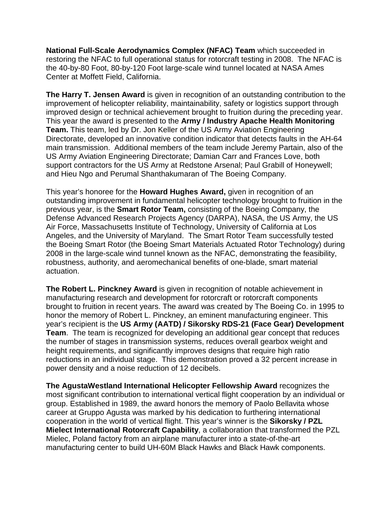**National Full-Scale Aerodynamics Complex (NFAC) Team** which succeeded in restoring the NFAC to full operational status for rotorcraft testing in 2008. The NFAC is the 40-by-80 Foot, 80-by-120 Foot large-scale wind tunnel located at NASA Ames Center at Moffett Field, California.

**The Harry T. Jensen Award** is given in recognition of an outstanding contribution to the improvement of helicopter reliability, maintainability, safety or logistics support through improved design or technical achievement brought to fruition during the preceding year. This year the award is presented to the **Army / Industry Apache Health Monitoring Team.** This team, led by Dr. Jon Keller of the US Army Aviation Engineering Directorate, developed an innovative condition indicator that detects faults in the AH-64 main transmission. Additional members of the team include Jeremy Partain, also of the US Army Aviation Engineering Directorate; Damian Carr and Frances Love, both support contractors for the US Army at Redstone Arsenal; Paul Grabill of Honeywell; and Hieu Ngo and Perumal Shanthakumaran of The Boeing Company.

This year's honoree for the **Howard Hughes Award,** given in recognition of an outstanding improvement in fundamental helicopter technology brought to fruition in the previous year, is the **Smart Rotor Team,** consisting of the Boeing Company, the Defense Advanced Research Projects Agency (DARPA), NASA, the US Army, the US Air Force, Massachusetts Institute of Technology, University of California at Los Angeles, and the University of Maryland. The Smart Rotor Team successfully tested the Boeing Smart Rotor (the Boeing Smart Materials Actuated Rotor Technology) during 2008 in the large-scale wind tunnel known as the NFAC, demonstrating the feasibility, robustness, authority, and aeromechanical benefits of one-blade, smart material actuation.

**The Robert L. Pinckney Award** is given in recognition of notable achievement in manufacturing research and development for rotorcraft or rotorcraft components brought to fruition in recent years. The award was created by The Boeing Co. in 1995 to honor the memory of Robert L. Pinckney, an eminent manufacturing engineer. This year's recipient is the **US Army (AATD) / Sikorsky RDS-21 (Face Gear) Development Team**. The team is recognized for developing an additional gear concept that reduces the number of stages in transmission systems, reduces overall gearbox weight and height requirements, and significantly improves designs that require high ratio reductions in an individual stage. This demonstration proved a 32 percent increase in power density and a noise reduction of 12 decibels.

**The AgustaWestland International Helicopter Fellowship Award** recognizes the most significant contribution to international vertical flight cooperation by an individual or group. Established in 1989, the award honors the memory of Paolo Bellavita whose career at Gruppo Agusta was marked by his dedication to furthering international cooperation in the world of vertical flight. This year's winner is the **Sikorsky / PZL Mielect International Rotorcraft Capability**, a collaboration that transformed the PZL Mielec, Poland factory from an airplane manufacturer into a state-of-the-art manufacturing center to build UH-60M Black Hawks and Black Hawk components.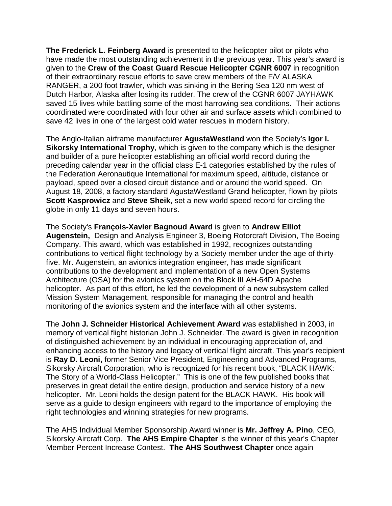**The Frederick L. Feinberg Award** is presented to the helicopter pilot or pilots who have made the most outstanding achievement in the previous year. This year's award is given to the **Crew of the Coast Guard Rescue Helicopter CGNR 6007** in recognition of their extraordinary rescue efforts to save crew members of the F/V ALASKA RANGER, a 200 foot trawler, which was sinking in the Bering Sea 120 nm west of Dutch Harbor, Alaska after losing its rudder. The crew of the CGNR 6007 JAYHAWK saved 15 lives while battling some of the most harrowing sea conditions. Their actions coordinated were coordinated with four other air and surface assets which combined to save 42 lives in one of the largest cold water rescues in modern history.

The Anglo-Italian airframe manufacturer **AgustaWestland** won the Society's **Igor I. Sikorsky International Trophy**, which is given to the company which is the designer and builder of a pure helicopter establishing an official world record during the preceding calendar year in the official class E-1 categories established by the rules of the Federation Aeronautique International for maximum speed, altitude, distance or payload, speed over a closed circuit distance and or around the world speed. On August 18, 2008, a factory standard AgustaWestland Grand helicopter, flown by pilots **Scott Kasprowicz** and **Steve Sheik**, set a new world speed record for circling the globe in only 11 days and seven hours.

The Society's **François-Xavier Bagnoud Award** is given to **Andrew Elliot Augenstein,** Design and Analysis Engineer 3, Boeing Rotorcraft Division, The Boeing Company. This award, which was established in 1992, recognizes outstanding contributions to vertical flight technology by a Society member under the age of thirtyfive. Mr. Augenstein, an avionics integration engineer, has made significant contributions to the development and implementation of a new Open Systems Architecture (OSA) for the avionics system on the Block III AH-64D Apache helicopter. As part of this effort, he led the development of a new subsystem called Mission System Management, responsible for managing the control and health monitoring of the avionics system and the interface with all other systems.

The **John J. Schneider Historical Achievement Award** was established in 2003, in memory of vertical flight historian John J. Schneider. The award is given in recognition of distinguished achievement by an individual in encouraging appreciation of, and enhancing access to the history and legacy of vertical flight aircraft. This year's recipient is **Ray D. Leoni,** former Senior Vice President, Engineering and Advanced Programs, Sikorsky Aircraft Corporation, who is recognized for his recent book, "BLACK HAWK: The Story of a World-Class Helicopter." This is one of the few published books that preserves in great detail the entire design, production and service history of a new helicopter. Mr. Leoni holds the design patent for the BLACK HAWK. His book will serve as a guide to design engineers with regard to the importance of employing the right technologies and winning strategies for new programs.

The AHS Individual Member Sponsorship Award winner is **Mr. Jeffrey A. Pino**, CEO, Sikorsky Aircraft Corp. **The AHS Empire Chapter** is the winner of this year's Chapter Member Percent Increase Contest. **The AHS Southwest Chapter** once again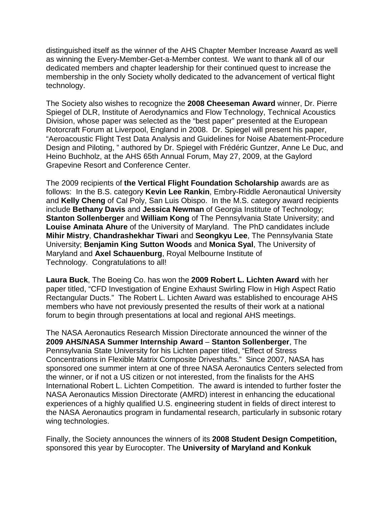distinguished itself as the winner of the AHS Chapter Member Increase Award as well as winning the Every-Member-Get-a-Member contest. We want to thank all of our dedicated members and chapter leadership for their continued quest to increase the membership in the only Society wholly dedicated to the advancement of vertical flight technology.

The Society also wishes to recognize the **2008 Cheeseman Award** winner, Dr. Pierre Spiegel of DLR, Institute of Aerodynamics and Flow Technology, Technical Acoustics Division, whose paper was selected as the "best paper" presented at the European Rotorcraft Forum at Liverpool, England in 2008. Dr. Spiegel will present his paper, "Aeroacoustic Flight Test Data Analysis and Guidelines for Noise Abatement-Procedure Design and Piloting, " authored by Dr. Spiegel with Frédéric Guntzer, Anne Le Duc, and Heino Buchholz, at the AHS 65th Annual Forum, May 27, 2009, at the Gaylord Grapevine Resort and Conference Center.

The 2009 recipients of **the Vertical Flight Foundation Scholarship** awards are as follows: In the B.S. category **Kevin Lee Rankin**, Embry-Riddle Aeronautical University and **Kelly Cheng** of Cal Poly, San Luis Obispo. In the M.S. category award recipients include **Bethany Davis** and **Jessica Newman** of Georgia Institute of Technology; **Stanton Sollenberger** and **William Kong** of The Pennsylvania State University; and **Louise Aminata Ahure** of the University of Maryland. The PhD candidates include **Mihir Mistry**, **Chandrashekhar Tiwari** and **Seongkyu Lee**, The Pennsylvania State University; **Benjamin King Sutton Woods** and **Monica Syal**, The University of Maryland and **Axel Schauenburg**, Royal Melbourne Institute of Technology. Congratulations to all!

**Laura Buck**, The Boeing Co. has won the **2009 Robert L. Lichten Award** with her paper titled, "CFD Investigation of Engine Exhaust Swirling Flow in High Aspect Ratio Rectangular Ducts." The Robert L. Lichten Award was established to encourage AHS members who have not previously presented the results of their work at a national forum to begin through presentations at local and regional AHS meetings.

The NASA Aeronautics Research Mission Directorate announced the winner of the **2009 AHS/NASA Summer Internship Award** – **Stanton Sollenberger**, The Pennsylvania State University for his Lichten paper titled, "Effect of Stress Concentrations in Flexible Matrix Composite Driveshafts." Since 2007, NASA has sponsored one summer intern at one of three NASA Aeronautics Centers selected from the winner, or if not a US citizen or not interested, from the finalists for the AHS International Robert L. Lichten Competition. The award is intended to further foster the NASA Aeronautics Mission Directorate (AMRD) interest in enhancing the educational experiences of a highly qualified U.S. engineering student in fields of direct interest to the NASA Aeronautics program in fundamental research, particularly in subsonic rotary wing technologies.

Finally, the Society announces the winners of its **2008 Student Design Competition,** sponsored this year by Eurocopter. The **University of Maryland and Konkuk**